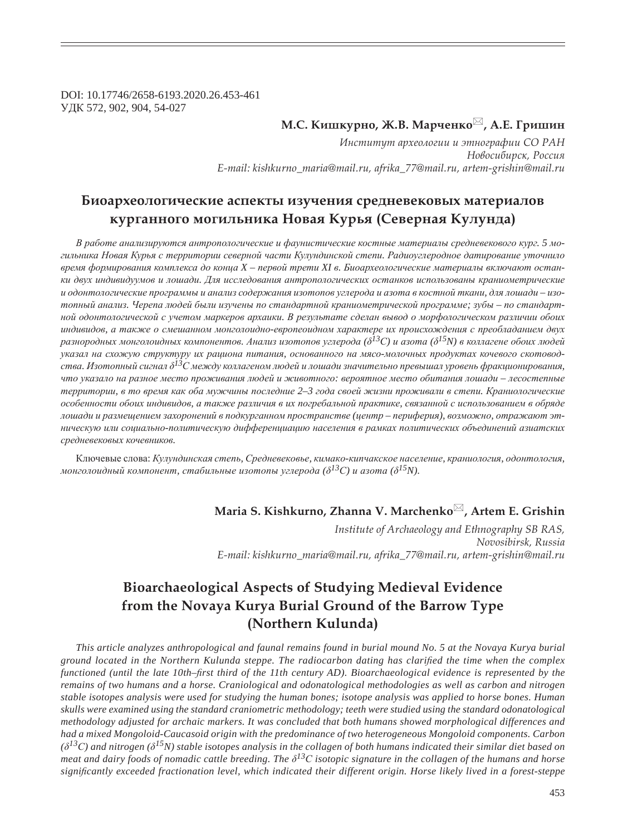DOI: 10.17746/2658-6193.2020.26.453-461 ɍȾɄ 572, 902, 904, 54-027

## **М.С. Кишкурно, Ж.В. Марченко**⊠, А.Е. Гришин

Институт археологии и этнографии СО РАН  $H$ овосибирск, Россия *E-mail: kishkurno\_maria@mail.ru, afrika\_77@mail.ru, artem-grishin@mail.ru*

## Биоархеологические аспекты изучения средневековых материалов **ȘȡȞȑȎțțȜȑȜ ȚȜȑȖșȪțȖȘȎ ǻȜȐȎȭ ǸȡȞȪȭ (ǿȓȐȓȞțȎȭ ǸȡșȡțȒȎ)**

В работе анализируются антропологические и фаунистические костные материалы средневекового кург. 5 могильника Новая Курья с территории северной части Кулундинской степи. Радиоуглеродное датирование уточнило  $\epsilon$ ремя формирования комплекса до конца X – первой трети XI в. Биоархеологические материалы включают останки двух индивидуумов и лошади. Для исследования антропологических останков использованы краниометрические и одонтологические программы и анализ содержания изотопов углерода и азота в костной ткани, для лошади - изотопный анализ. Черепа людей были изучены по стандартной краниометрической программе; зубы – по стандартной одонтологической с учетом маркеров архаики. В результате сделан вывод о морфологическом различии обоих индивидов, а также о смешанном монголоидно-европеоидном характере их происхождения с преобладанием двух разнородных монголоидных компонентов. Анализ изотопов углерода ( $\delta^{I3}C$ ) и азота ( $\delta^{I5}N$ ) в коллагене обоих людей указал на схожую структуру их рациона питания, основанного на мясо-молочных продуктах кочевого скотоводства. Изотопный сигнал д<sup>13</sup>С между коллагеном людей и лошади значительно превышал уровень фракшионирования, что указало на разное место проживания людей и животного: вероятное место обитания лошади – лесостепные территории, в то время как оба мужчины последние 2-3 года своей жизни проживали в степи. Краниологические особенности обоих индивидов, а также различия в их погребальной практике, связанной с использованием в обряде лошади и размещением захоронений в подкурганном пространстве (центр – периферия), возможно, отражают этническую или социально-политическую дифференциацию населения в рамках политических объединений азиатских  $\alpha$ редневековых кочевников.

Ключевые слова: Кулундинская степь, Средневековье, кимако-кипчакское население, краниология, одонтология,  $\mu$ *юнголоидный компонент, стабильные изотопы углерода* ( $\delta^{13}C$ ) и азота ( $\delta^{15}N$ ).

## **Maria S. Kishkurno, Zhanna V. Marchenko , Artem E. Grishin**

*Institute of Archaeology and Ethnography SB RAS, Novosibirsk, Russia E-mail: kishkurno\_maria@mail.ru, afrika\_77@mail.ru, artem-grishin@mail.ru*

# **Bioarchaeological Aspects of Studying Medieval Evidence from the Novaya Kurya Burial Ground of the Barrow Type (Northern Kulunda)**

*This article analyzes anthropological and faunal remains found in burial mound No. 5 at the Novaya Kurya burial ground located in the Northern Kulunda steppe. The radiocarbon dating has clari¿ ed the time when the complex functioned (until the late 10th–first third of the 11th century AD). Bioarchaeological evidence is represented by the remains of two humans and a horse. Craniological and odonatological methodologies as well as carbon and nitrogen stable isotopes analysis were used for studying the human bones; isotope analysis was applied to horse bones. Human skulls were examined using the standard craniometric methodology; teeth were studied using the standard odonatological methodology adjusted for archaic markers. It was concluded that both humans showed morphological differences and had a mixed Mongoloid-Caucasoid origin with the predominance of two heterogeneous Mongoloid components. Carbon*   $(\delta^{13}C)$  and nitrogen ( $\delta^{15}N$ ) stable isotopes analysis in the collagen of both humans indicated their similar diet based on *meat and dairy foods of nomadic cattle breeding. The*  $\delta^{13}$ *C isotopic signature in the collagen of the humans and horse signi¿ cantly exceeded fractionation level, which indicated their different origin. Horse likely lived in a forest-steppe*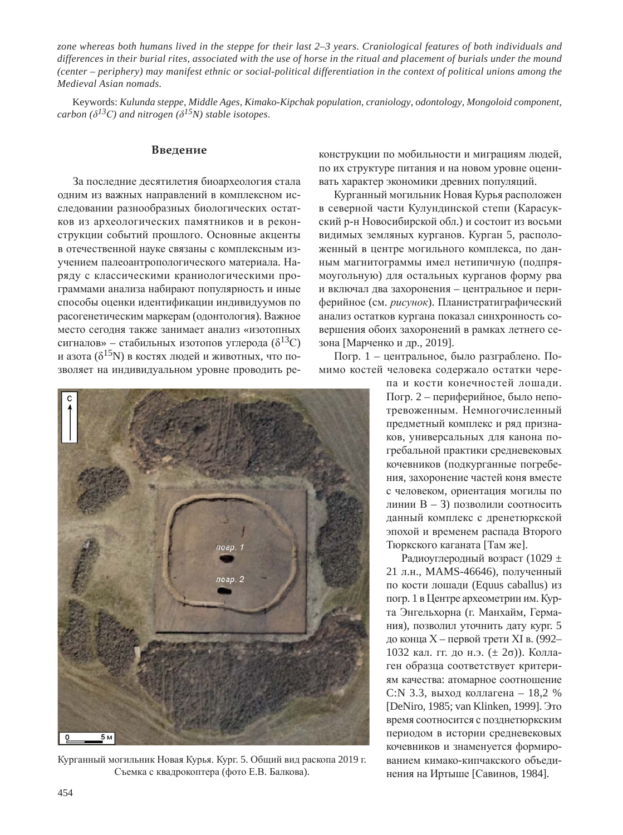*zone whereas both humans lived in the steppe for their last 2–3 years. Craniological features of both individuals and differences in their burial rites, associated with the use of horse in the ritual and placement of burials under the mound (center – periphery) may manifest ethnic or social-political differentiation in the context of political unions among the Medieval Asian nomads.*

Keywords: *Kulunda steppe, Middle Ages, Kimako-Kipchak population, craniology, odontology, Mongoloid component, carbon* ( $\delta^{13}C$ ) and nitrogen ( $\delta^{15}N$ ) stable isotopes.

#### **Введение**

За последние десятилетия биоархеология стала одним из важных направлений в комплексном исследовании разнообразных биологических остатков из археологических памятников и в реконструкции событий прошлого. Основные акценты в отечественной науке связаны с комплексным изучением палеоантропологического материала. Наряду с классическими краниологическими программами анализа набирают популярность и иные способы оценки идентификации индивидуумов по расогенетическим маркерам (одонтология). Важное место сегодня также занимает анализ «изотопных сигналов» – стабильных изотопов углерода ( $\delta^{13}C$ ) и азота ( $\delta^{15}$ N) в костях людей и животных, что позволяет на индивидуальном уровне проводить ре-



Курганный могильник Новая Курья. Кург. 5. Общий вид раскопа 2019 г. Съемка с квадрокоптера (фото Е.В. Балкова).

конструкции по мобильности и миграциям людей, по их структуре питания и на новом уровне оценивать характер экономики древних популяций.

Курганный могильник Новая Курья расположен в северной части Кулундинской степи (Карасукский р-н Новосибирской обл.) и состоит из восьми видимых земляных курганов. Курган 5, расположенный в центре могильного комплекса, по данным магнитограммы имел нетипичную (подпрямоугольную) для остальных курганов форму рва и включал два захоронения – центральное и периферийное (см. рисунок). Планистратиграфический анализ остатков кургана показал синхронность совершения обоих захоронений в рамках летнего сезона [Марченко и др., 2019].

Погр. 1 – центральное, было разграблено. Помимо костей человека содержало остатки чере-

> па и кости конечностей лошади. Погр. 2 – периферийное, было непотревоженным. Немногочисленный предметный комплекс и ряд признаков, универсальных для канона погребальной практики средневековых кочевников (подкурганные погребения, захоронение частей коня вместе с человеком, ориентация могилы по линии В – 3) позволили соотносить данный комплекс с дренетюркской эпохой и временем распада Второго Тюркского каганата [Там же].

> Радиоуглеродный возраст (1029 ± 21 л.н., MAMS-46646), полученный по кости лошади (Equus caballus) из погр. 1 в Центре археометрии им. Курта Энгельхорна (г. Манхайм, Германия), позволил уточнить дату кург. 5 до конца X – первой трети XI в. (992– 1032 кал. гг. до н.э.  $(\pm 2\sigma)$ ). Коллаген образца соответствует критериям качества: атомарное соотношение С:N 3.3, выход коллагена – 18,2 %  $[DeNiro, 1985; van Klinken, 1999]$ .  $\exists$ <sup>to</sup> время соотносится с позднетюркским периодом в истории средневековых кочевников и знаменуется формированием кимако-кипчакского объединения на Иртыше [Савинов, 1984].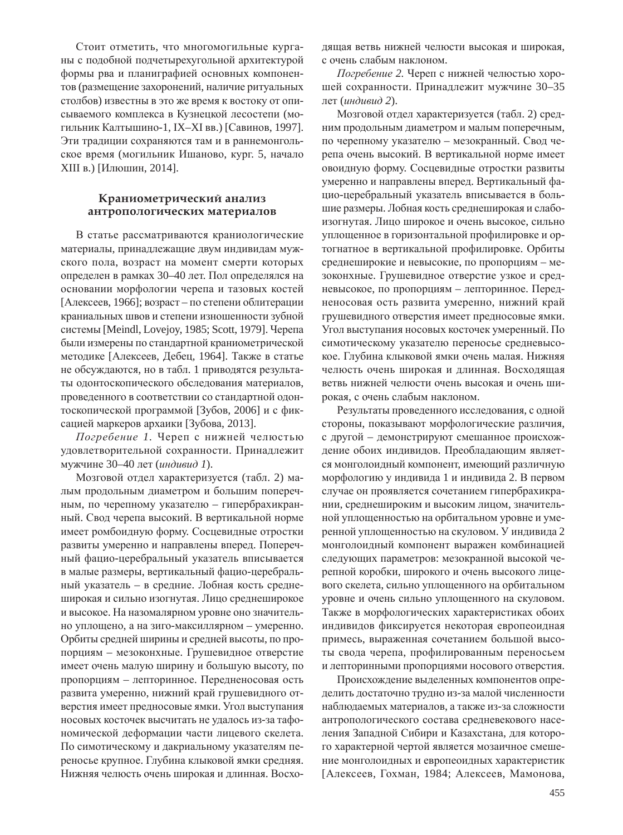Стоит отметить, что многомогильные курганы с подобной подчетырехугольной архитектурой формы рва и планиграфией основных компонентов (размещение захоронений, наличие ритуальных столбов) известны в это же время к востоку от описываемого комплекса в Кузнецкой лесостепи (могильник Калтышино-1, IX–XI вв.) [Савинов, 1997]. Эти традиции сохраняются там и в раннемонгольское время (могильник Ишаново, кург. 5, начало XIII в.) [Илюшин, 2014].

## Краниометрический анализ антропологических материалов

В статье рассматриваются краниологические материалы, принадлежащие двум индивидам мужского пола, возраст на момент смерти которых определен в рамках 30–40 лет. Пол определялся на основании морфологии черепа и тазовых костей [Алексеев, 1966]; возраст – по степени облитерации краниальных швов и степени изношенности зубной системы [Meindl, Lovejoy, 1985; Scott, 1979]. Черепа были измерены по стандартной краниометрической методике [Алексеев, Дебец, 1964]. Также в статье не обсуждаются, но в табл. 1 приводятся результаты одонтоскопического обследования материалов, проведенного в соответствии со стандартной одонтоскопической программой [Зубов, 2006] и с фиксацией маркеров архаики [Зубова, 2013].

Погребение 1. Череп с нижней челюстью удовлетворительной сохранности. Принадлежит мужчине 30–40 лет (*индивид 1*).

Мозговой отдел характеризуется (табл. 2) малым продольным диаметром и большим поперечным, по черепному указателю – гипербрахикранный. Свод черепа высокий. В вертикальной норме имеет ромбоидную форму. Сосцевидные отростки развиты умеренно и направлены вперед. Поперечный фацио-церебральный указатель вписывается в малые размеры, вертикальный фацио-церебральный указатель – в средние. Лобная кость среднеширокая и сильно изогнутая. Лицо среднеширокое и высокое. На назомалярном уровне оно значительно уплощено, а на зиго-максиллярном – умеренно. Орбиты средней ширины и средней высоты, по пропорциям – мезоконхные. Грушевидное отверстие имеет очень малую ширину и большую высоту, по пропорциям – лепторинное. Передненосовая ость развита умеренно, нижний край грушевидного отверстия имеет предносовые ямки. Угол выступания носовых косточек высчитать не удалось из-за тафономической деформации части лицевого скелета. По симотическому и дакриальному указателям переносье крупное. Глубина клыковой ямки средняя. Нижняя челюсть очень широкая и длинная. Восходящая ветвь нижней челюсти высокая и широкая, с очень слабым наклоном.

Погребение 2. Череп с нижней челюстью хорошей сохранности. Принадлежит мужчине 30–35 лет (*индивид* 2).

Мозговой отдел характеризуется (табл. 2) средним продольным диаметром и малым поперечным, по черепному указателю – мезокранный. Свод черепа очень высокий. В вертикальной норме имеет овоидную форму. Сосцевидные отростки развиты умеренно и направлены вперед. Вертикальный фацио-церебральный указатель вписывается в большие размеры. Лобная кость среднеширокая и слабоизогнутая. Лицо широкое и очень высокое, сильно уплошенное в горизонтальной профилировке и ортогнатное в вертикальной профилировке. Орбиты среднеширокие и невысокие, по пропорциям – мезоконхные. Грушевидное отверстие узкое и средневысокое, по пропорциям – лепторинное. Передненосовая ость развита умеренно, нижний край грушевидного отверстия имеет предносовые ямки. Угол выступания носовых косточек умеренный. По симотическому указателю переносье средневысокое. Глубина клыковой ямки очень малая. Нижняя челюсть очень широкая и длинная. Восходящая ветвь нижней челюсти очень высокая и очень широкая, с очень слабым наклоном.

Результаты проведенного исследования, с одной стороны, показывают морфологические различия, с другой – демонстрируют смешанное происхождение обоих индивидов. Преобладающим является монголоидный компонент, имеющий различную морфологию у индивида 1 и индивида 2. В первом случае он проявляется сочетанием гипербрахикрании, среднешироким и высоким лицом, значительной уплощенностью на орбитальном уровне и умеренной уплощенностью на скуловом. У индивида 2 монголоидный компонент выражен комбинацией следующих параметров: мезокранной высокой черепной коробки, широкого и очень высокого лицевого скелета, сильно уплощенного на орбитальном уровне и очень сильно уплощенного на скуловом. Также в морфологических характеристиках обоих индивидов фиксируется некоторая европеоидная примесь, выраженная сочетанием большой высоты свода черепа, профилированным переносьем и лепторинными пропорциями носового отверстия.

Происхождение выделенных компонентов определить достаточно трудно из-за малой численности наблюдаемых материалов, а также из-за сложности антропологического состава средневекового населения Западной Сибири и Казахстана, для которого характерной чертой является мозаичное смешение монголоидных и европеоидных характеристик [Алексеев, Гохман, 1984; Алексеев, Мамонова,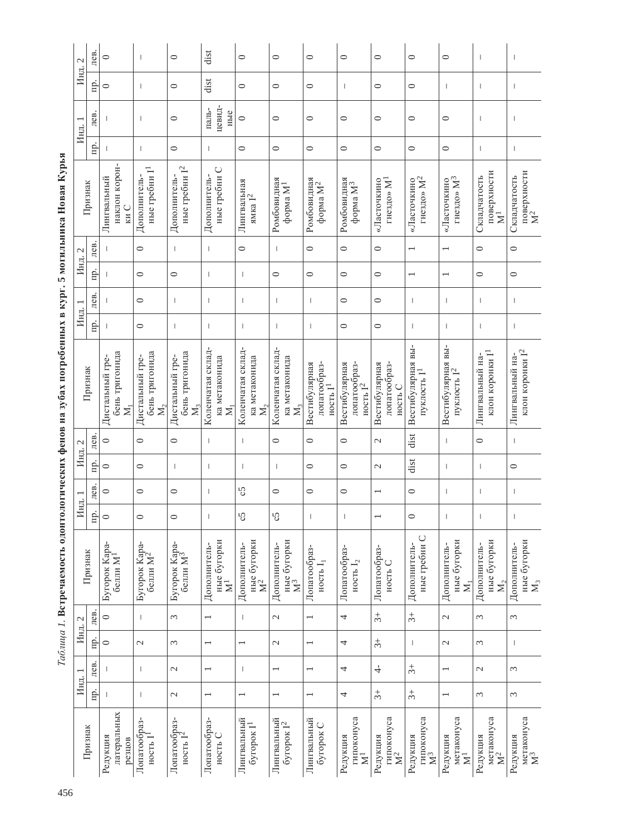| ֕<br>֚֚֬<br>í<br>l<br>I                                                                      |  |
|----------------------------------------------------------------------------------------------|--|
| ı<br>֕                                                                                       |  |
| ֚֚                                                                                           |  |
| <b>A MUNICIPALITY OF STATISTICS</b><br>ׇ֧<br>Corrected the correction of the correction<br>q |  |
|                                                                                              |  |
|                                                                                              |  |
|                                                                                              |  |
|                                                                                              |  |
| 4                                                                                            |  |
| i<br>،<br>,                                                                                  |  |
|                                                                                              |  |
| ł<br>5CT)<br>$\overline{\phantom{a}}$<br>I                                                   |  |
| ł                                                                                            |  |
| ып<br>š<br>Ì<br>ŀ                                                                            |  |
|                                                                                              |  |
|                                                                                              |  |
|                                                                                              |  |
|                                                                                              |  |
|                                                                                              |  |
|                                                                                              |  |
|                                                                                              |  |
|                                                                                              |  |

|         | $\mathcal{L}$ | лев. | $\circ$                                               | $\overline{\phantom{a}}$                              | $\circ$                                    | dist                                           | $\circ$                                                | $\circ$                                         | $\circ$                                     | $\circ$                                               | $\circ$                                  | $\circ$                                       | $\circ$                                                | $\overline{\phantom{a}}$                        | T                                               |
|---------|---------------|------|-------------------------------------------------------|-------------------------------------------------------|--------------------------------------------|------------------------------------------------|--------------------------------------------------------|-------------------------------------------------|---------------------------------------------|-------------------------------------------------------|------------------------------------------|-----------------------------------------------|--------------------------------------------------------|-------------------------------------------------|-------------------------------------------------|
|         | Инд.          | Ê.   | $\circ$                                               | $\overline{\phantom{a}}$                              | $\circ$                                    | dist                                           | $\circ$                                                | $\circ$                                         | $\circ$                                     | $\mathbf{I}$                                          | $\circ$                                  | $\circ$                                       | $\mathbf{I}$                                           | $\mathbf{I}$                                    | T                                               |
|         | Инд. 1        | лев. |                                                       | $\overline{\phantom{a}}$                              | $\circ$                                    | цевид-<br>паль-<br>ные                         | $\circ$                                                | $\circ$                                         | 0                                           | $\circ$                                               | $\circ$                                  | $\circ$                                       | $\circ$                                                | $\overline{\phantom{a}}$                        | т                                               |
|         |               | nр.  | ı                                                     | $\overline{1}$                                        | $\circ$                                    | $\mathbf{I}$                                   | $\circ$                                                | $\circ$                                         | $\circ$                                     | $\circ$                                               | $\circ$                                  | $\circ$                                       | $\circ$                                                | $\overline{\phantom{a}}$                        | $\begin{array}{c} \end{array}$                  |
| Признак |               |      | наклон корон-<br>Лингвальный<br>ки С                  | ные гребни $I1$<br>Дополнитель-                       | ные гребни $\mathcal{I}^2$<br>Дополнитель- | ные гребни С<br>Дополнитель-                   | Лингвальная<br>ямка $\mathbf{I}^2$                     | Ромбовидная<br>форма М <sup>1</sup>             | Ромбовидная $\Phi^2$                        | Ромбовидная $\Phi$ орма $M^3$                         | гнездо» М <sup>1</sup><br>«Ласточкино    | гнездо» $\rm M^2$<br>«Ласточкино              | гнездо» $M^3$<br>«Ласточкино                           | поверхности $\mathbb{M}^1$<br>Складчатость      | поверхности $M^2$<br>Складчатость               |
|         | $\mathcal{L}$ | лев. |                                                       | $\circ$                                               | $\begin{array}{c} \hline \end{array}$      | $\circ$<br>$\mathbf{I}$<br>Т                   |                                                        |                                                 | $\circ$                                     | $\circ$<br>$\circ$<br>$\overline{ }$                  |                                          |                                               | $\overline{\phantom{0}}$                               | $\circ$                                         | $\circ$                                         |
|         | Инд.          | Ξ.   | $\mathbf{I}$                                          | $\circ$                                               | $\circ$                                    | T                                              | $\mathbf{I}$                                           | $\circ$                                         | $\circ$                                     | $\circ$                                               | $\circ$                                  | $\overline{ }$                                | $\overline{\phantom{0}}$                               | $\circ$                                         | $\circ$                                         |
|         |               | лев. |                                                       | $\circ$                                               | $\begin{array}{c} \hline \end{array}$      | т                                              | $\mathbf{I}$                                           | I                                               | $\overline{\phantom{a}}$                    | $\circ$                                               | $\circ$                                  | $\overline{1}$                                | 1                                                      | $\mathbf{I}$                                    | $\begin{array}{c} \end{array}$                  |
|         | Инд.          | Ξ.   | $\mathbf{I}$                                          | 0                                                     | $\begin{array}{c} \hline \end{array}$      | T                                              | $\mathbf{I}$                                           | T                                               | 1                                           | $\circ$                                               | $\circ$                                  | $\overline{1}$                                | 1                                                      | $\begin{array}{c} \hline \end{array}$           | $\begin{array}{c} \end{array}$                  |
|         | Признак       |      | бень тригонида<br>Дистальный гре-<br>$\sum_{i=1}^{n}$ | бень тригонида<br>Дистальный гре-<br>$\sum_{i=1}^{n}$ | бень тригонида<br>Дистальный гре-<br>$M_3$ | Коленчатая склад-<br>ка метаконида<br>$\Sigma$ | Коленчатая склад-<br>ка метаконида<br>$\sum_{i=1}^{n}$ | Коленчатая склад-<br>ка метаконида<br>$M_3$     | лопатообраз-<br>Вестибулярная<br>ность $I1$ | Вестибулярная<br>лопатообраз-<br>ность I <sup>2</sup> | Вестибулярная<br>лопатообраз-<br>ность С | Вестибулярная вы<br>- пуклость $\mathbf{I}^1$ | Вестибулярная вы-<br>пуклость $\mathbf{1}^2$           | клон коронки I <sup>1</sup><br>Лингвальный на-  | клон коронки $\mathcal{I}^2$<br>Лингвальный на- |
|         | $\mathcal{C}$ | лев. | $\circ$                                               | $\circ$                                               | $\circ$                                    | $\begin{array}{c} \hline \end{array}$          | $\mathord{\text{\rm I}}$                               | $\circ$                                         | $\circ$                                     | $\circ$                                               | $\mathcal{L}$                            | dist                                          | $\mathbf{I}$                                           | $\circ$                                         | $\begin{array}{c} \end{array}$                  |
|         | Инд.          | пp.  | $\circ$                                               | $\circ$                                               | $\begin{array}{c} \hline \end{array}$      | T                                              | $\mathord{\text{\rm I}}$                               | I                                               | $\circ$                                     | $\circ$                                               | $\mathcal{L}$                            | dist                                          | $\mathbf{I}$                                           | $\mathbf{I}$                                    | $\circ$                                         |
|         |               | лев. | $\circ$                                               | $\circ$                                               | $\circ$                                    | T                                              | c5                                                     | $\circ$                                         | $\circ$                                     | $\circ$                                               | $\overline{\phantom{0}}$                 | $\circ$                                       | T                                                      | $\overline{\phantom{a}}$                        | $\begin{array}{c} \end{array}$                  |
|         | Инд. 1        | Πp.  | $\circ$                                               | 0                                                     | $\circ$                                    |                                                | ςŚ                                                     | ς5                                              | I                                           |                                                       | $\overline{ }$                           | $\circ$                                       |                                                        |                                                 | $\begin{array}{c} \end{array}$                  |
|         | Признак       |      | Бугорок Кара-<br>белли М <sup>1</sup>                 | Бугорок Кара- $6e$ ыли $\rm M^2$                      | Бугорок Кара-<br>белли М <sup>3</sup>      | ные бугорки $\mathbf{M}^1$<br>Дополнитель-     | ные бугорки $\mathbf{M}^2$<br>Дополнитель-             | ные бугорки<br>Дополнитель-<br>$\sum_{i=1}^{n}$ | Лопатообраз<br>ность $I_1$                  | Лопатообраз-<br>ность ${\bf I}_2$                     | Лопатообраз-<br>ность $C$                | ные гребни С<br>Дополнитель-                  | ные бугорки<br>Дополнитель-<br>$\overline{\mathsf{z}}$ | ные бугорки<br>Дополнитель-<br>$\mathbf{M}_{2}$ | ные бугорки<br>Дополнитель-<br>$\mathbf{M}_3$   |
|         | $\mathcal{L}$ | лев. | $\circ$                                               | $\overline{\phantom{a}}$                              | 3                                          |                                                | $\mathbf{I}$                                           | $\mathcal{L}$                                   |                                             | 4                                                     | $\ddot{\varepsilon}$                     | $\ddot{3}$                                    | $\mathcal{L}$                                          | $\epsilon$                                      | 3                                               |
|         | Инд.          | Еj.  | $\circ$                                               | $\mathcal{L}$                                         | 3                                          |                                                |                                                        | $\mathcal{L}$                                   |                                             | 4                                                     | $\ddot{5}$                               | $\overline{1}$                                | $\mathcal{L}$                                          | $\epsilon$                                      | T                                               |
|         |               | лев. |                                                       | $\overline{1}$                                        | $\mathcal{L}$                              |                                                | $\mathbf{I}$                                           |                                                 |                                             | 4                                                     | $\frac{1}{\sqrt{2}}$                     | $\ddot{3}+$                                   | $\overline{\phantom{0}}$                               | $\sim$                                          | 3                                               |
| Инд.    |               | Пp.  | $\mathbf{I}$                                          | $\mathbf{I}$                                          | $\mathcal{L}$                              |                                                |                                                        |                                                 |                                             | 4                                                     | $\ddot{\varepsilon}$                     | $\ddot{3}$                                    | $\overline{\phantom{0}}$                               | $\epsilon$                                      | 3                                               |
|         | Признак       |      | латеральных<br>Редукция<br>резцов                     | Лопатообраз-<br>ность І                               | Лопатообраз-<br>ность $I2$                 | Лопатообраз-<br>ность С                        | Лингвальный<br>бугорок $I^1$                           | Лингвальный<br>бугорок $\mathcal{I}^2$          | Лингвальный<br>бугорок С                    | гипоконуса<br>Редукция<br>$\rm \Xi$                   | гипоконуса<br>$\mathbf{M}^2$<br>Редукция | гипоконуса<br>Редукция<br>$\mathbf{M}^3$      | метаконуса<br>Редукция<br>$\bar{\mathbf{z}}$           | метаконуса<br>$\mathbf{M}^2$<br>Редукция        | метаконуса $\mathbf{M}^3$<br>Редукция           |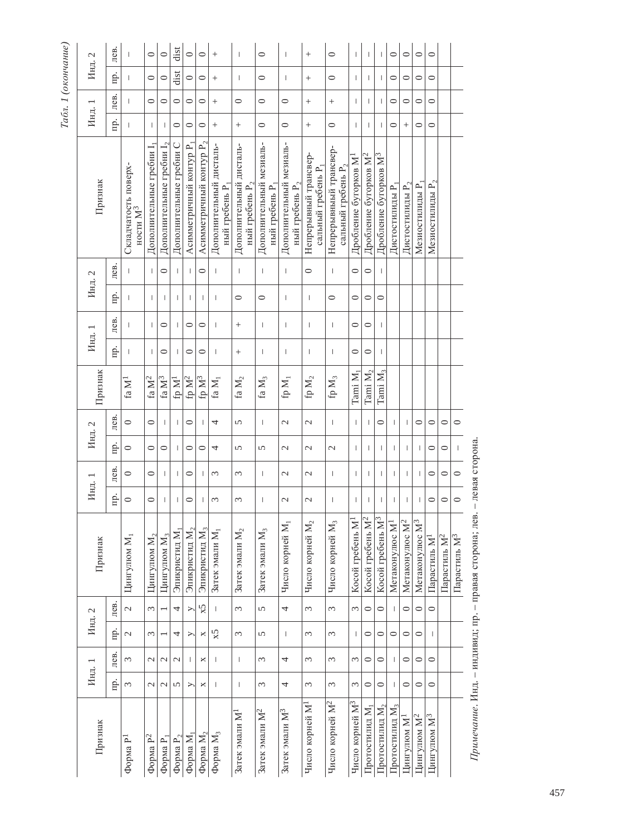| Ç<br>υ<br>2<br>t<br>Circ<br>Ń                                  |
|----------------------------------------------------------------|
|                                                                |
| ۰                                                              |
| Ę<br>$\tilde{\mathcal{L}}$<br>$\mathbf{r}$<br>₹<br>š<br>F<br>ŧ |

| 2       | лев.      | $\overline{1}$                               | $\circ$                              | $\circ$                  | dist                    | $\circ$                             | $\circ$                             |                                          | $\overline{\phantom{a}}$                  | $\circ$                                  | 1                                            |                                                         | $\circ$                                         | $\overline{1}$              | $\overline{1}$                    | $\overline{1}$                    | $\circ$                    | $\circ$                    | $\circ$                    | $\circ$                   |                          |                          |
|---------|-----------|----------------------------------------------|--------------------------------------|--------------------------|-------------------------|-------------------------------------|-------------------------------------|------------------------------------------|-------------------------------------------|------------------------------------------|----------------------------------------------|---------------------------------------------------------|-------------------------------------------------|-----------------------------|-----------------------------------|-----------------------------------|----------------------------|----------------------------|----------------------------|---------------------------|--------------------------|--------------------------|
| Инд.    | <u>гі</u> | I                                            | $\circ$                              | $\circ$                  | dist                    | $\circ$                             | $\circ$                             | $^{+}$                                   | $\overline{\phantom{a}}$                  | $\circ$                                  | T                                            |                                                         | $\circ$                                         | T                           | $\mathbf{I}$                      | $\mathbf{I}$                      | $\circ$                    | $\circ$                    | $\circ$                    | $\circ$                   |                          |                          |
|         | лев.      |                                              | 0                                    | 0                        | $\circ$                 | 0                                   | $\circ$                             | $^{+}$                                   | $\circ$                                   | $\circ$                                  | $\circ$                                      | $^{+}$                                                  | $\! + \!\!\!\!$                                 | $\overline{1}$              | 1                                 | $\overline{\phantom{a}}$          | $\circ$                    | 0                          | $\circ$                    | 0                         |                          |                          |
| Инд. 1  | Ê.        |                                              | $\overline{1}$                       | $\mathbf{I}$             | $\circ$                 | $\circ$                             | $\circ$                             | $\! + \!\!\!\!$                          | $^{+}$                                    | $\circ$                                  | $\circ$                                      | $^{+}$                                                  | $\circ$                                         | T                           | $\mathbf{I}$                      | $\mathbf{I}$                      | $\circ$                    | $^{+}$                     | $\circ$                    | $\circ$                   |                          |                          |
| Признак |           | Складчатость поверх-<br>ности $\mathbf{M}^3$ | Дополнительные гребни I <sub>1</sub> | Дополнительные гребни 1, | Дополнительные гребни С | Асимметричный контур P <sub>1</sub> | Асимметричный контур Р <sub>2</sub> | Дополнительный дисталь-<br>ный гребень Р | Дополнительный дисталь-<br>ный гребень Р. | Дополнительный мезиаль-<br>ный гребень Р | Дополнительный мезиаль-<br>ный гребень $P_2$ | Непрерывный трансвер-<br>сальный гребень P <sub>1</sub> | Непрерывныый трансвер-<br>сальный гребень $P_2$ | Дробление бугорков M        | Дробление бугорков М <sup>2</sup> | Дробление бугорков М <sup>3</sup> | Дистостилиды Р             | Дистостилиды Р $_{\rm 2}$  | Мезиостилиды Р             | Мезиостилиды Р $_{\rm 2}$ |                          |                          |
| Инд. 2  | лев.      |                                              |                                      | $\circ$                  | $\mathbf{I}$            | $\mathbf{I}$                        | $\circ$                             | I                                        | $\vert$                                   | $\overline{1}$                           | $\begin{array}{c} \hline \end{array}$        | $\circ$                                                 | $\overline{1}$                                  | $\circ$                     | $\circ$                           | $\mathbf{I}$                      |                            |                            |                            |                           |                          |                          |
|         | пp.       | I                                            | $\overline{\phantom{a}}$             | T                        | $\mathbf{I}$            | т                                   | 1                                   | Т                                        | 0                                         | $\circ$                                  | T                                            | $\overline{\phantom{a}}$                                | $\circ$                                         | 0                           | $\circ$                           | $\circ$                           |                            |                            |                            |                           |                          |                          |
|         | лев.      | $\overline{1}$                               | T                                    | 0                        | $\mathbf{I}$            | $\circ$                             | $\circ$                             | Т                                        | $^{+}$                                    | T                                        | T                                            | $\overline{\phantom{a}}$                                | $\overline{1}$                                  | $\circ$                     | $\circ$                           | $\mathbf{I}$                      |                            |                            |                            |                           |                          |                          |
| Инд. 1  | <u>гі</u> | I                                            | I                                    | $\circ$                  | $\mathbf{I}$            | $\circ$                             | $\circ$                             | Т                                        | $^{+}$                                    | T                                        | T                                            | $\overline{\phantom{a}}$                                | $\overline{1}$                                  | $\circ$                     | $\circ$                           | $\mathbf{I}$                      |                            |                            |                            |                           |                          |                          |
| Признак |           | faM <sup>1</sup>                             | fa $\mathbf{M}^2$                    | fa $\mathbf{M}^3$        | fp $M1$                 | fp $\mathbf{M}^2$                   | fp $M^3$                            | fa M <sub>1</sub>                        | fa $\mathbf{M}_2$                         | fa $\mathbf{M}_3$                        | fp $\mathbf{M}_1$                            | fp $\mathbf{M}_2$                                       | fp $\mathbf{M}_3$                               | Tami M <sub>1</sub>         | Tami M <sub>2</sub>               | $\rm Tami~M_3$                    |                            |                            |                            |                           |                          |                          |
|         | лев.      | $\circ$                                      | $\circ$                              | I                        | $\mathbf{I}$            | $\circ$                             | т                                   | 4                                        | 5                                         | T                                        | $\mathcal{L}$                                | 2                                                       | $\overline{1}$                                  | $\overline{1}$              |                                   | $\circ$                           | Т                          | Т                          | $\circ$                    | $\circ$                   | $\circ$                  | $\circ$                  |
| Инд. 2  | Πp.       | $\circ$                                      | $\circ$                              | $\circ$                  | $\mathbf{I}$            | $\circ$                             | $\circ$                             | 4                                        | 5                                         | 5                                        | $\mathcal{L}$                                | 2                                                       | $\mathcal{L}$                                   | $\overline{1}$              | T                                 | $\overline{1}$                    | T                          | $\overline{1}$             | J                          | 0                         | $\circ$                  | $\mathbf{L}$             |
|         | лев.      | $\circ$                                      | $\circ$                              | I                        | <b>I</b>                | $\circ$                             | т                                   | $\infty$                                 | 3                                         | T                                        | $\mathcal{L}$                                | 2                                                       | I                                               | I                           | ı                                 | $\overline{1}$                    | T                          | Т                          |                            | 0                         | $\circ$                  | $\circ$                  |
| Инд. 1  | Е.        | $\circ$                                      | $\circ$                              | I                        | $\mathbf{I}$            | 0                                   | Ш                                   | 3                                        | 3                                         | T                                        | $\mathcal{L}$                                | 2                                                       | $\overline{1}$                                  | $\overline{1}$              | I                                 | $\overline{\phantom{a}}$          | T                          | $\overline{1}$             | ı                          | 0                         | 0                        | $\circ$                  |
| Признак |           | Цингулюм М <sub>1</sub>                      | Цингулюм $M_2$                       | Цингулюм М <sub>3</sub>  | Эпикристид М1           | Эпикристид $M_2$                    | Эпикристид М <sub>3</sub>           | Затек эмали М <sub>1</sub>               | Затек эмали $\rm M_2$                     | Затек эмали $\rm M_3$                    | Число корней М1                              | Число корней $M_2$                                      | Число корней М <sub>3</sub>                     | Косой гребень М             | Ċ١<br>Косой гребень М             | Косой гребень М <sup>3</sup>      | Метаконулюс М-             | Метаконулюс М <sup>2</sup> | Метаконулюс М <sup>3</sup> | Парастиль М               | Парастиль М <sup>2</sup> | Парастиль М <sup>3</sup> |
|         | лев.      | $\mathcal{L}$                                | 3                                    | $\overline{\phantom{0}}$ | 4                       | $\geq$                              | x5                                  | $\mathbf{L}$                             | 3                                         | $\overline{5}$                           | $\overline{\phantom{a}}$                     | 3                                                       | $\omega$                                        | 3                           | $\circ$                           | $\circ$                           | -1                         | $\circ$                    | $\circ$                    | $\circ$                   |                          |                          |
| Инд. 2  | Пp.       | $\mathcal{L}$                                | 3                                    |                          | 4                       | ≻                                   | ×                                   | 5x                                       | 3                                         | 5                                        | I                                            | 3                                                       | $\epsilon$                                      | $\mathbf{I}$                | $\circ$                           | $\circ$                           | $\circ$                    | $\circ$                    | $\circ$                    | $\mathbf{I}$              |                          |                          |
|         | лев.      | 3                                            | $\mathcal{L}$                        | $\mathcal{L}$            | $\mathcal{L}$           | Т                                   | ×                                   | Ш                                        | T                                         | 3                                        | 4                                            | 3                                                       | $\epsilon$                                      | 3                           | $\circ$                           | $\circ$                           | T                          | $\circ$                    | $\circ$                    | $\circ$                   |                          |                          |
| Инд. 1  | mр.       | 3                                            | $\mathcal{L}$                        | $\mathcal{L}$            | $\overline{5}$          | ➢                                   | ×                                   | $\overline{1}$                           | $\begin{array}{c} \end{array}$            | 3                                        | 4                                            | 3                                                       | 3                                               | 3                           | $\circ$                           | $\circ$                           | т                          | $\circ$                    | $\circ$                    | $\circ$                   |                          |                          |
| Признак |           | $\Phi$ орма Р <sup>1</sup>                   | Форма Р <sup>2</sup>                 | Форма P <sub>1</sub>     | Форма $P_2$             | Форма М,                            | Форма $M_2$                         | Форма $M_3$                              | Затек эмали М                             | Затек эмали М <sup>2</sup>               | Затек эмали М <sup>3</sup>                   | Число корней М <sup>1</sup>                             | Число корней М <sup>2</sup>                     | Число корней М <sup>3</sup> | Протостилид М <sub>1</sub>        | $\rm II$ ротостилид $\rm M_{2}$   | Протостилид М <sub>3</sub> | Цингулюм М <sup>1</sup>    | Цингулюм М <sup>2</sup>    | Цингулюм М <sup>3</sup>   |                          |                          |

Примечание. Инд. - индивид; пр. - правая сторона; лев. - левая сторона. *Примечание*. Инд. – индивид; пр. – правая сторона; лев. – левая сторона.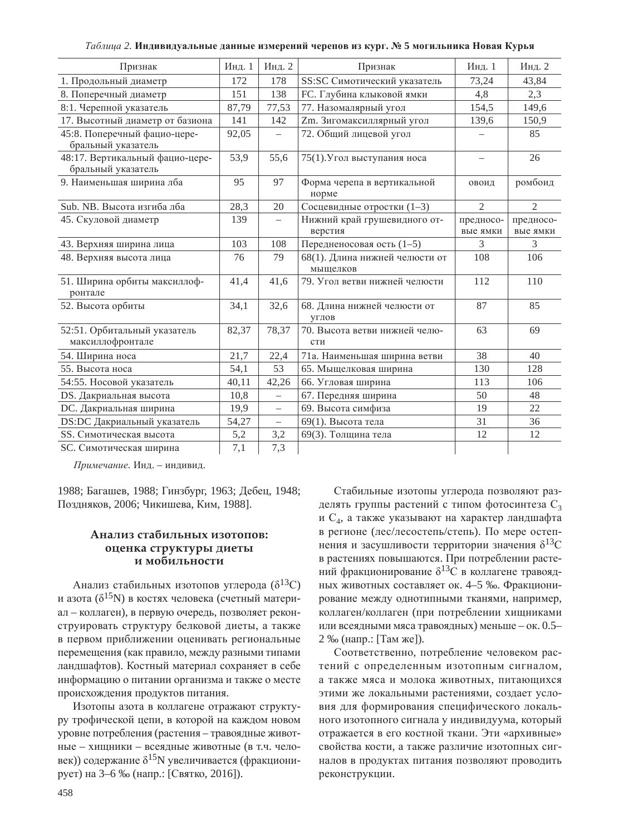#### $Ta6nua$  2. Индивидуальные данные измерений черепов из кург. № 5 могильника Новая Курья

| Признак                                               | Инд. 1 | Инд. 2            | Признак                                      | Инд. 1                | Инд. 2                |
|-------------------------------------------------------|--------|-------------------|----------------------------------------------|-----------------------|-----------------------|
| 1. Продольный диаметр                                 | 172    | 178               | SS:SC Симотический указатель                 | 73,24                 | 43,84                 |
| 8. Поперечный диаметр                                 | 151    | 138               | <b>FC</b> . Глубина клыковой ямки            | 4,8                   | 2,3                   |
| 8:1. Черепной указатель                               | 87,79  | 77,53             | 77. Назомалярный угол                        | 154,5                 | 149,6                 |
| 17. Высотный диаметр от базиона                       | 141    | 142               | Zm. Зигомаксиллярный угол                    | 139,6                 | 150,9                 |
| 45:8. Поперечный фацио-цере-<br>бральный указатель    | 92,05  |                   | 72. Общий лицевой угол                       |                       | 85                    |
| 48:17. Вертикальный фацио-цере-<br>бральный указатель | 53,9   | 55,6              | 75(1). Угол выступания носа                  | $\equiv$              | 26                    |
| 9. Наименьшая ширина лба                              | 95     | 97                | Форма черепа в вертикальной<br>норме         | овоид                 | ромбоид               |
| Sub. NB. Высота изгиба лба                            | 28,3   | 20                | Сосцевидные отростки (1-3)                   | $\overline{2}$        | $\overline{2}$        |
| 45. Скуловой диаметр                                  | 139    |                   | Нижний край грушевидного от-<br>верстия      | предносо-<br>вые ямки | предносо-<br>вые ямки |
| 43. Верхняя ширина лица                               | 103    | 108               | Передненосовая ость (1-5)                    | 3                     | $\mathcal{F}$         |
| 48. Верхняя высота лица                               | 76     | 79                | 68(1). Длина нижней челюсти от<br>мыщелков   | 108                   | 106                   |
| 51. Ширина орбиты максиллоф-<br>ронтале               | 41,4   | 41,6              | 79. Угол ветви нижней челюсти                | 112                   | 110                   |
| 52. Высота орбиты                                     | 34,1   | 32,6              | 68. Длина нижней челюсти от<br><b>VTJIOB</b> | 87                    | 85                    |
| 52:51. Орбитальный указатель<br>максиллофронтале      | 82,37  | 78,37             | 70. Высота ветви нижней челю-<br>сти         | 63                    | 69                    |
| 54. Ширина носа                                       | 21,7   | 22,4              | 71а. Наименьшая ширина ветви                 | 38                    | 40                    |
| 55. Высота носа                                       | 54,1   | 53                | 65. Мыщелковая ширина                        | 130                   | 128                   |
| 54:55. Носовой указатель                              | 40,11  | 42,26             | 66. Угловая ширина                           | 113                   | 106                   |
| DS. Дакриальная высота                                | 10,8   | $\equiv$          | 67. Передняя ширина                          | 50                    | 48                    |
| DC. Дакриальная ширина                                | 19,9   | $\qquad \qquad -$ | 69. Высота симфиза                           | 19                    | 22                    |
| DS:DC Дакриальный указатель                           | 54,27  | $\equiv$          | 69(1). Высота тела                           | 31                    | 36                    |
| SS. Симотическая высота                               | 5,2    | 3,2               | 69(3). Толщина тела                          | 12                    | 12                    |
| SC. Симотическая ширина                               | 7,1    | 7,3               |                                              |                       |                       |

 $\Pi$ римечание. Инд. – индивид.

1988; Багашев, 1988; Гинзбург, 1963; Дебец, 1948; Поздняков, 2006; Чикишева, Ким, 1988].

### $A$ нализ стабильных изотопов: **оценка структуры диеты** и мобильности

Анализ стабильных изотопов углерода ( $\delta^{13}C$ ) и азота ( $\delta^{15}$ N) в костях человека (счетный материал – коллаген), в первую очередь, позволяет реконструировать структуру белковой диеты, а также в первом приближении оценивать региональные перемещения (как правило, между разными типами ландшафтов). Костный материал сохраняет в себе информацию о питании организма и также о месте происхождения продуктов питания.

Изотопы азота в коллагене отражают структуру трофической цепи, в которой на каждом новом уровне потребления (растения – травоядные животные – хищники – всеядные животные (в т.ч. человек)) содержание  $\delta^{15}N$  увеличивается (фракционирует) на 3–6 ‰ (напр.: [Святко, 2016]).

Стабильные изотопы углерода позволяют разделять группы растений с типом фотосинтеза С<sub>3</sub> и  $C_4$ , а также указывают на характер ландшафта в регионе (лес/лесостепь/степь). По мере остепнения и засушливости территории значения  $\delta^{13}C$ в растениях повышаются. При потреблении растений фракционирование  $\delta^{13}$ С в коллагене травоядных животных составляет ок. 4–5 ‰. Фракционирование между однотипными тканями, например, коллаген/коллаген (при потреблении хищниками или всеядными мяса травоядных) меньше – ок.  $0.5-$ 2 ‰ (напр.: [Там же]).

Соответственно, потребление человеком растений с определенным изотопным сигналом, а также мяса и молока животных, питающихся этими же локальными растениями, создает условия для формирования специфического локального изотопного сигнала у индивидуума, который отражается в его костной ткани. Эти «архивные» свойства кости, а также различие изотопных сигналов в продуктах питания позволяют проводить реконструкции.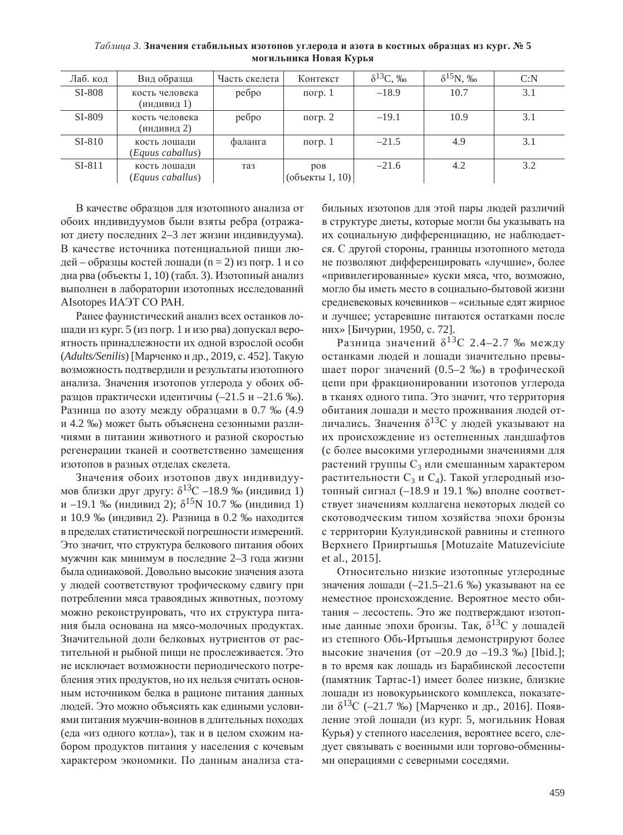| Лаб. код | Вид образца                      | Часть скелета | Контекст                  | $\delta^{13}C, \%$ | $\delta^{15}$ N, ‰ | C: N |
|----------|----------------------------------|---------------|---------------------------|--------------------|--------------------|------|
| SI-808   | кость человека<br>(индивид 1)    | ребро         | погр. $1$                 | $-18.9$            | 10.7               | 3.1  |
| SI-809   | кость человека<br>(индивид 2)    | ребро         | погр. $2$                 | $-19.1$            | 10.9               | 3.1  |
| $SI-810$ | кость лошади<br>(Equus caballus) | фаланга       | погр. $1$                 | $-21.5$            | 4.9                | 3.1  |
| $SI-811$ | кость лошади<br>(Equus caballus) | таз           | DOB<br>$($ объекты 1, 10) | $-21.6$            | 4.2                | 3.2  |

 $Ta6\nu u a 3$ . Значения стабильных изотопов углерода и азота в костных образцах из кург. № 5 **могильника Новая Курья** 

В качестве образцов для изотопного анализа от обоих индивидуумов были взяты ребра (отражают диету последних 2–3 лет жизни индивидуума). В качестве источника потенциальной пищи людей – образцы костей лошади (n = 2) из погр. 1 и со дна рва (объекты 1, 10) (табл. 3). Изотопный анализ выполнен в лаборатории изотопных исследований AIsotopes HA<sub>H</sub> CO PAH.

Ранее фаунистический анализ всех останков лошади из кург. 5 (из погр. 1 и изо рва) допускал вероятность принадлежности их одной взрослой особи (*Adults/Senilis*) [Марченко и др., 2019, с. 452]. Такую возможность подтвердили и результаты изотопного анализа. Значения изотопов углерода у обоих образцов практически идентичны  $(-21.5 \text{ m} -21.6 \text{ %})$ . Разница по азоту между образцами в 0.7 ‰ (4.9 и 4.2 ‰) может быть объяснена сезонными различиями в питании животного и разной скоростью регенерации тканей и соответственно замешения изотопов в разных отделах скелета.

Значения обоих изотопов двух индивидуумов близки друг другу:  $\delta^{13}C - 18.9$  ‰ (индивид 1) и –19.1 ‰ (индивид 2);  $\delta^{15}N$  10.7 ‰ (индивид 1) и 10.9 ‰ (индивид 2). Разница в 0.2 ‰ находится в пределах статистической погрешности измерений. Это значит, что структура белкового питания обоих мужчин как минимум в последние 2–3 года жизни была одинаковой. Довольно высокие значения азота у людей соответствуют трофическому сдвигу при потреблении мяса травоядных животных, поэтому можно реконструировать, что их структура питания была основана на мясо-молочных продуктах. Значительной доли белковых нутриентов от растительной и рыбной пищи не прослеживается. Это не исключает возможности периодического потребления этих продуктов, но их нельзя считать основным источником белка в рационе питания данных людей. Это можно объяснять как едиными условиями питания мужчин-воинов в длительных походах (еда «из одного котла»), так и в целом схожим набором продуктов питания у населения с кочевым характером экономики. По данным анализа стабильных изотопов для этой пары людей различий в структуре диеты, которые могли бы указывать на их социальную дифференциацию, не наблюдается. С другой стороны, границы изотопного метода не позволяют дифференцировать «лучшие», более «привилегированные» куски мяса, что, возможно, могло бы иметь место в социально-бытовой жизни средневековых кочевников – «сильные едят жирное и лучшее; устаревшие питаются остатками после них» [Бичурин, 1950, с. 72].

Разница значений  $\delta^{13}C$  2.4–2.7 ‰ между останками людей и лошади значительно превышает порог значений (0.5–2 ‰) в трофической цепи при фракционировании изотопов углерода в тканях одного типа. Это значит, что территория обитания лошади и место проживания людей отличались. Значения  $\delta^{13}C$  у людей указывают на их происхождение из остепненных ландшафтов (с более высокими углеродными значениями для растений группы  $C_3$  или смешанным характером растительности  $C_3$  и  $C_4$ ). Такой углеродный изотопный сигнал ( $-18.9$  и 19.1 ‰) вполне соответствует значениям коллагена некоторых людей со скотоводческим типом хозяйства эпохи бронзы с территории Кулундинской равнины и степного Верхнего Прииртышья [Motuzaite Matuzeviciute et al., 2015].

Относительно низкие изотопные углеродные значения лошади ( $-21.5-21.6$  ‰) указывают на ее неместное происхождение. Вероятное место обитания – лесостепь. Это же подтверждают изотопные данные эпохи бронзы. Так,  $\delta^{13}C$  у лошадей из степного Обь-Иртышья демонстрируют более высокие значения (от  $-20.9$  до  $-19.3$  ‰) [Ibid.]; в то время как лошадь из Барабинской лесостепи (памятник Тартас-1) имеет более низкие, близкие лошади из новокурьинского комплекса, показатели  $\delta^{13}$ С (–21.7 ‰) [Марченко и др., 2016]. Появление этой лошади (из кург. 5, могильник Новая Курья) у степного населения, вероятнее всего, следует связывать с военными или торгово-обменными операциями с северными соседями.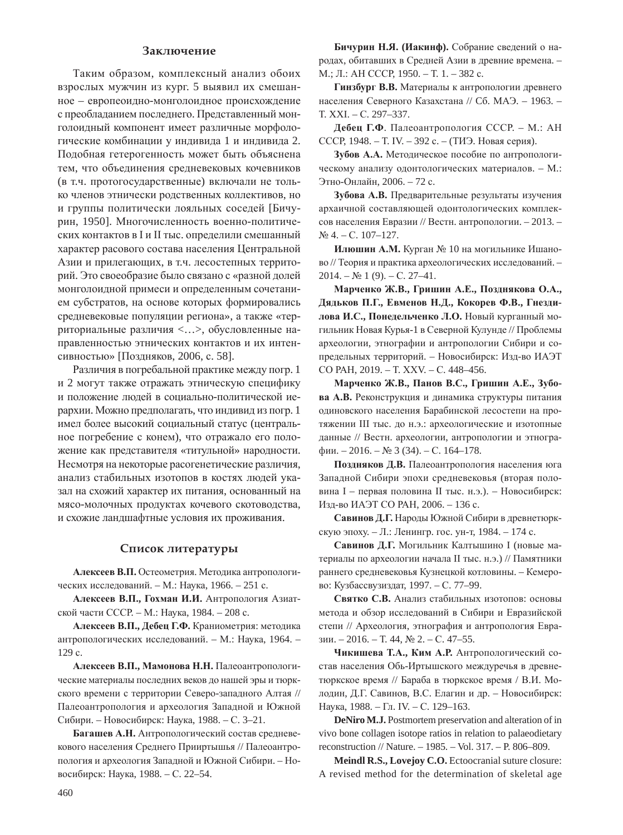### Заключение

Таким образом, комплексный анализ обоих взрослых мужчин из кург. 5 выявил их смешанное – европеоидно-монголоидное происхождение с преобладанием последнего. Представленный монголоидный компонент имеет различные морфологические комбинации у индивида 1 и индивида 2. Подобная гетерогенность может быть объяснена тем, что объединения средневековых кочевников (в т.ч. протогосударственные) включали не только членов этнически родственных коллективов, но и группы политически лояльных соседей [Бичурин, 1950]. Многочисленность военно-политических контактов в I и II тыс. определили смешанный характер расового состава населения Центральной Азии и прилегающих, в т.ч. лесостепных территорий. Это своеобразие было связано с «разной долей монголоидной примеси и определенным сочетанием субстратов, на основе которых формировались средневековые популяции региона», а также «территориальные различия <...>, обусловленные направленностью этнических контактов и их интенсивностью» [Поздняков, 2006, с. 58].

Различия в погребальной практике между погр. 1 и 2 могут также отражать этническую специфику и положение людей в социально-политической иерархии. Можно предполагать, что индивид из погр. 1 имел более высокий социальный статус (центральное погребение с конем), что отражало его положение как представителя «титульной» народности. Несмотря на некоторые расогенетические различия, анализ стабильных изотопов в костях людей указал на схожий характер их питания, основанный на мясо-молочных продуктах кочевого скотоводства, и схожие ландшафтные условия их проживания.

#### Список литературы

Алексеев В.П. Остеометрия. Методика антропологических исследований. – М.: Наука, 1966. – 251 с.

Алексеев В.П., Гохман И.И. Антропология Азиатской части СССР. – М.: Наука, 1984. – 208 с.

Алексеев В.П., Дебец Г.Ф. Краниометрия: методика антропологических исследований. – М.: Наука, 1964. – 129 c.

Алексеев В.П., Мамонова Н.Н. Палеоантропологические материалы последних веков до нашей эры и тюркского времени с территории Северо-западного Алтая // Палеоантропология и археология Западной и Южной Сибири. – Новосибирск: Наука, 1988. – С. 3–21.

Багашев А.Н. Антропологический состав средневекового населения Среднего Прииртышья // Палеоантропология и археология Западной и Южной Сибири. – Новосибирск: Наука, 1988. – С. 22–54.

Бичурин Н.Я. (Иакинф). Собрание сведений о народах, обитавших в Средней Азии в древние времена. – М.; Л.: АН СССР, 1950. – Т. 1. – 382 с.

Гинзбург В.В. Материалы к антропологии древнего населения Северного Казахстана // Сб. МАЭ. - 1963. -Ɍ. XXI. – ɋ. 297–337.

Дебец Г.Ф. Палеоантропология СССР. - М.: АН СССР, 1948. – Т. IV. – 392 с. – (ТИЭ. Новая серия).

Зубов А.А. Методическое пособие по антропологическому анализу одонтологических материалов. - М.: Этно-Онлайн, 2006. – 72 с.

Зубова А.В. Предварительные результаты изучения архаичной составляющей одонтологических комплексов населения Евразии // Вестн. антропологии. – 2013. –  $N<sub>2</sub>$  4. – C. 107–127.

**Илюшин А.М.** Курган № 10 на могильнике Ишаново // Теория и практика археологических исследований. - $2014. - N<sub>2</sub> 1 (9). - C. 27-41.$ 

**Ɇɚɪɱɟɧɤɨ ɀ.ȼ., Ƚɪɢɲɢɧ Ⱥ.ȿ., ɉɨɡɞɧɹɤɨɜɚ Ɉ.Ⱥ.,**   $\Box$ **ЯДЬКОВ П.Г., Евменов Н.Д., Кокорев Ф.В., Гнездилова И.С., Понедельченко Л.О.** Новый курганный могильник Новая Курья-1 в Северной Кулунде // Проблемы археологии, этнографии и антропологии Сибири и сопредельных территорий. – Новосибирск: Изд-во ИАЭТ CO PAH, 2019. – T. XXV. – C. 448–456.

Марченко Ж.В., Панов В.С., Гришин А.Е., Зубо**ва А.В.** Реконструкция и динамика структуры питания одиновского населения Барабинской лесостепи на протяжении III тыс. до н.э.: археологические и изотопные данные // Вестн. археологии, антропологии и этногра- $\phi$ ии. – 2016. – № 3 (34). – С. 164–178.

Поздняков Д.В. Палеоантропология населения юга Западной Сибири эпохи средневековья (вторая половина I – первая половина II тыс. н.э.). – Новосибирск: Изд-во ИАЭТ СО РАН, 2006. – 136 с.

Савинов Д.Г. Народы Южной Сибири в древнетюркскую эпоху. – Л.: Ленингр. гос. ун-т, 1984. – 174 с.

Савинов Д.Г. Могильник Калтышино I (новые материалы по археологии начала II тыс. н.э.) // Памятники раннего средневековья Кузнецкой котловины. - Кемерово: Кузбассвузиздат, 1997. – С. 77–99.

Святко С.В. Анализ стабильных изотопов: основы метода и обзор исследований в Сибири и Евразийской степи // Археология, этнография и антропология Евразии. – 2016. – Т. 44,  $\mathcal{N}$  2. – С. 47–55.

Чикишева Т.А., Ким А.Р. Антропологический состав населения Обь-Иртышского междуречья в древнетюркское время // Бараба в тюркское время / В.И. Молодин, Д.Г. Савинов, В.С. Елагин и др. - Новосибирск: Наука, 1988. – Гл. IV. – С. 129–163.

**DeNiro M.J.** Postmortem preservation and alteration of in vivo bone collagen isotope ratios in relation to palaeodietary reconstruction // Nature. – 1985. – Vol. 317. – P. 806–809.

**Meindl R.S., Lovejoy C.O.** Ectoocranial suture closure: A revised method for the determination of skeletal age